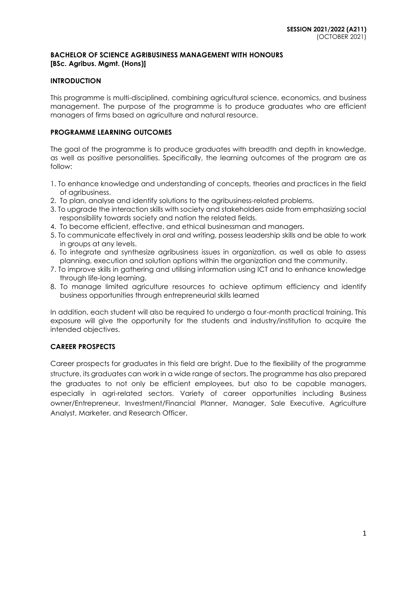## **BACHELOR OF SCIENCE AGRIBUSINESS MANAGEMENT WITH HONOURS [BSc. Agribus. Mgmt. (Hons)]**

## **INTRODUCTION**

This programme is multi-disciplined, combining agricultural science, economics, and business management. The purpose of the programme is to produce graduates who are efficient managers of firms based on agriculture and natural resource.

## **PROGRAMME LEARNING OUTCOMES**

The goal of the programme is to produce graduates with breadth and depth in knowledge, as well as positive personalities. Specifically, the learning outcomes of the program are as follow:

- 1. To enhance knowledge and understanding of concepts, theories and practices in the field of agribusiness.
- 2. To plan, analyse and identify solutions to the agribusiness-related problems.
- 3. To upgrade the interaction skills with society and stakeholders aside from emphasizing social responsibility towards society and nation the related fields.
- 4. To become efficient, effective, and ethical businessman and managers.
- 5. To communicate effectively in oral and writing, possess leadership skills and be able to work in groups at any levels.
- 6. To integrate and synthesize agribusiness issues in organization, as well as able to assess planning, execution and solution options within the organization and the community.
- 7. To improve skills in gathering and utilising information using ICT and to enhance knowledge through life-long learning.
- 8. To manage limited agriculture resources to achieve optimum efficiency and identify business opportunities through entrepreneurial skills learned

In addition, each student will also be required to undergo a four-month practical training. This exposure will give the opportunity for the students and industry/institution to acquire the intended objectives.

## **CAREER PROSPECTS**

Career prospects for graduates in this field are bright. Due to the flexibility of the programme structure, its graduates can work in a wide range of sectors. The programme has also prepared the graduates to not only be efficient employees, but also to be capable managers, especially in agri-related sectors. Variety of career opportunities including Business owner/Entrepreneur, Investment/Financial Planner, Manager, Sale Executive, Agriculture Analyst, Marketer, and Research Officer.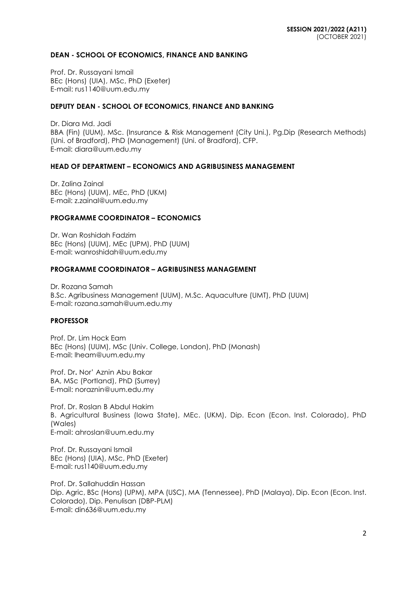#### **DEAN - SCHOOL OF ECONOMICS, FINANCE AND BANKING**

Prof. Dr. Russayani Ismail BEc (Hons) (UIA), MSc, PhD (Exeter) E-mail: rus1140@uum.edu.my

## **DEPUTY DEAN - SCHOOL OF ECONOMICS, FINANCE AND BANKING**

Dr. Diara Md. Jadi BBA (Fin) (UUM), MSc. (Insurance & Risk Management (City Uni.), Pg.Dip (Research Methods) (Uni. of Bradford), PhD (Management) (Uni. of Bradford), CFP. E-mail: diara@uum.edu.my

## **HEAD OF DEPARTMENT – ECONOMICS AND AGRIBUSINESS MANAGEMENT**

Dr. Zalina Zainal BEc (Hons) (UUM), MEc, PhD (UKM) E-mail: [z.zainal@uum.edu.my](mailto:z.zainal@uum.edu.my)

#### **PROGRAMME COORDINATOR – ECONOMICS**

Dr. Wan Roshidah Fadzim BEc (Hons) (UUM), MEc (UPM), PhD (UUM) E-mail: [wanroshidah@uum.edu.my](mailto:wanroshidah@uum.edu.my)

#### **PROGRAMME COORDINATOR – AGRIBUSINESS MANAGEMENT**

Dr. Rozana Samah B.Sc. Agribusiness Management (UUM), M.Sc. Aquaculture (UMT), PhD (UUM) E-mail: [rozana.samah@uum.edu.my](mailto:rozana.samah@uum.edu.my)

## **PROFESSOR**

Prof. Dr. Lim Hock Eam BEc (Hons) (UUM), MSc (Univ. College, London), PhD (Monash) E-mail: [lheam@uum.edu.my](mailto:lheam@uum.edu.my)

Prof. Dr**.** Nor' Aznin Abu Bakar BA, MSc (Portland), PhD (Surrey) E-mail: [noraznin@uum.edu.my](mailto:noraznin@uum.edu.my)

Prof. Dr. Roslan B Abdul Hakim B. Agricultural Business (Iowa State), MEc. (UKM), Dip. Econ (Econ. Inst. Colorado), PhD (Wales) E-mail: ahroslan@uum.edu.my

Prof. Dr. Russayani Ismail BEc (Hons) (UIA), MSc, PhD (Exeter) E-mail: [rus1140@uum.edu.my](mailto:rus1140@uum.edu.my)

Prof. Dr. Sallahuddin Hassan Dip. Agric, BSc (Hons) (UPM), MPA (USC), MA (Tennessee), PhD (Malaya), Dip. Econ (Econ. Inst. Colorado), Dip. Penulisan (DBP-PLM) E-mail: [din636@uum.edu.my](mailto:din636@uum.edu.my)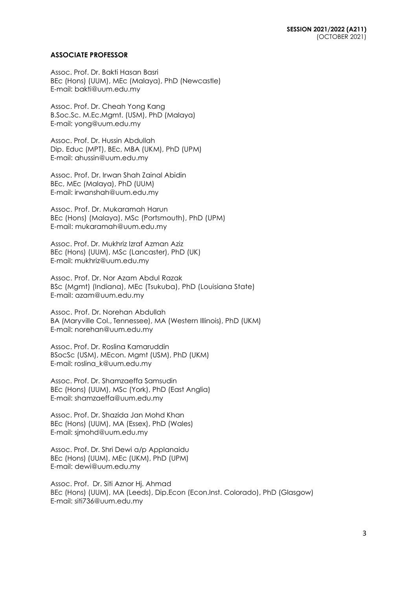#### **ASSOCIATE PROFESSOR**

Assoc. Prof. Dr. Bakti Hasan Basri BEc (Hons) (UUM), MEc (Malaya), PhD (Newcastle) E-mail: [bakti@uum.edu.my](mailto:bakti@uum.edu.my)

Assoc. Prof. Dr. Cheah Yong Kang B.Soc.Sc. M.Ec.Mgmt. (USM), PhD (Malaya) E-mail: [yong@uum.edu.my](mailto:yong@uum.edu.my)

Assoc. Prof. Dr. Hussin Abdullah Dip. Educ (MPT), BEc, MBA (UKM), PhD (UPM) E-mail: [ahussin@uum.edu.my](mailto:ahussin@uum.edu.my)

Assoc. Prof. Dr. Irwan Shah Zainal Abidin BEc, MEc (Malaya), PhD (UUM) E-mail: [irwanshah@uum.edu.my](mailto:irwanshah@uum.edu.my)

Assoc. Prof. Dr. Mukaramah Harun BEc (Hons) (Malaya), MSc (Portsmouth), PhD (UPM) E-mail: mukaramah@uum.edu.my

Assoc. Prof. Dr. Mukhriz Izraf Azman Aziz BEc (Hons) (UUM), MSc (Lancaster), PhD (UK) E-mail: [mukhriz@uum.edu.my](mailto:mukhriz@uum.edu.my)

Assoc. Prof. Dr. Nor Azam Abdul Razak BSc (Mgmt) (Indiana), MEc (Tsukuba), PhD (Louisiana State) E-mail: [azam@uum.edu.my](mailto:azam@uum.edu.my)

Assoc. Prof. Dr. Norehan Abdullah BA (Maryville Col., Tennessee), MA (Western Illinois), PhD (UKM) E-mail: [norehan@uum.edu.my](mailto:norehan@uum.edu.my)

Assoc. Prof. Dr. Roslina Kamaruddin BSocSc (USM), MEcon. Mgmt (USM), PhD (UKM) E-mail: [roslina\\_k@uum.edu.my](mailto:roslina_k@uum.edu.my)

Assoc. Prof. Dr. Shamzaeffa Samsudin BEc (Hons) (UUM), MSc (York), PhD (East Anglia) E-mail: shamzaeffa@uum.edu.my

Assoc. Prof. Dr. Shazida Jan Mohd Khan BEc (Hons) (UUM), MA (Essex), PhD (Wales) E-mail: [sjmohd@uum.edu.my](mailto:sjmohd@uum.edu.my)

Assoc. Prof. Dr. Shri Dewi a/p Applanaidu BEc (Hons) (UUM), MEc (UKM), PhD (UPM) E-mail: [dewi@uum.edu.my](mailto:dewi@uum.edu.my)

Assoc. Prof. Dr. Siti Aznor Hj. Ahmad BEc (Hons) (UUM), MA (Leeds), Dip.Econ (Econ.Inst. Colorado), PhD (Glasgow) E-mail: siti736@uum.edu.my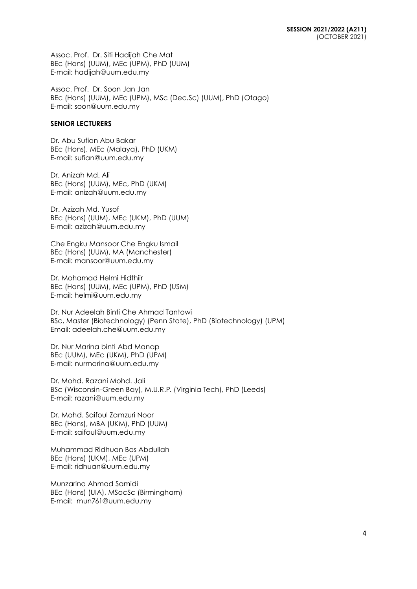Assoc. Prof. Dr. Siti Hadijah Che Mat BEc (Hons) (UUM), MEc (UPM), PhD (UUM) E-mail: [hadijah@uum.edu.my](mailto:hadijah@uum.edu.my)

Assoc. Prof. Dr. Soon Jan Jan BEc (Hons) (UUM), MEc (UPM), MSc (Dec.Sc) (UUM), PhD (Otago) E-mail: soon@uum.edu.my

## **SENIOR LECTURERS**

Dr. Abu Sufian Abu Bakar BEc (Hons), MEc (Malaya), PhD (UKM) E-mail: [sufian@uum.edu.my](mailto:sufian@uum.edu.my)

Dr. Anizah Md. Ali BEc (Hons) (UUM), MEc, PhD (UKM) E-mail: [anizah@uum.edu.my](mailto:anizah@uum.edu.my)

Dr. Azizah Md. Yusof BEc (Hons) (UUM), MEc (UKM), PhD (UUM) E-mail: [azizah@uum.edu.my](mailto:azizah@uum.edu.my)

Che Engku Mansoor Che Engku Ismail BEc (Hons) (UUM), MA (Manchester) E-mail: [mansoor@uum.edu.my](mailto:mansoor@uum.edu.my)

Dr. Mohamad Helmi Hidthiir BEc (Hons) (UUM), MEc (UPM), PhD (USM) E-mail: helmi@uum.edu.my

Dr. Nur Adeelah Binti Che Ahmad Tantowi BSc, Master (Biotechnology) (Penn State), PhD (Biotechnology) (UPM) Email: adeelah.che@uum.edu.my

Dr. Nur Marina binti Abd Manap BEc (UUM), MEc (UKM), PhD (UPM) E-mail: nu[rmarina@uum.edu.my](mailto:marina@uum.edu.my)

Dr. Mohd. Razani Mohd. Jali BSc (Wisconsin-Green Bay), M.U.R.P. (Virginia Tech), PhD (Leeds) E-mail: [razani@uum.edu.my](mailto:razani@uum.edu.my)

Dr. Mohd. Saifoul Zamzuri Noor BEc (Hons), MBA (UKM), PhD (UUM) E-mail: [saifoul@uum.edu.my](mailto:saifoul@uum.edu.my)

Muhammad Ridhuan Bos Abdullah BEc (Hons) (UKM), MEc (UPM) E-mail: [ridhuan@uum.edu.my](mailto:ridhuan@uum.edu.my)

Munzarina Ahmad Samidi BEc (Hons) (UIA), MSocSc (Birmingham) E-mail: [mun761@uum.edu.my](mailto:mun761@uum.edu.my)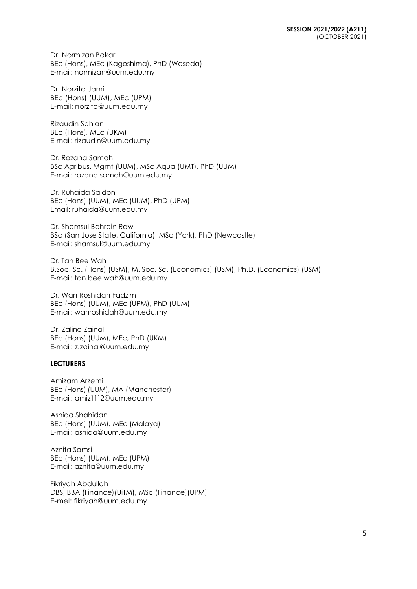Dr. Normizan Bakar BEc (Hons), MEc (Kagoshima), PhD (Waseda) E-mail: [normizan@uum.edu.my](mailto:normizan@uum.edu.my)

Dr. Norzita Jamil BEc (Hons) (UUM), MEc (UPM) E-mail: [norzita@uum.edu.my](mailto:norzita@uum.edu.my)

Rizaudin Sahlan BEc (Hons), MEc (UKM) E-mail: [rizaudin@uum.edu.my](mailto:rizaudin@uum.edu.my)

Dr. Rozana Samah BSc Agribus. Mgmt (UUM), MSc Aqua (UMT), PhD (UUM) E-mail: rozana.samah@uum.edu.my

Dr. Ruhaida Saidon BEc (Hons) (UUM), MEc (UUM), PhD (UPM) Email: ruhaida@uum.edu.my

Dr. Shamsul Bahrain Rawi BSc (San Jose State, California), MSc (York), PhD (Newcastle) E-mail: [shamsul@uum.edu.my](mailto:shamsul@uum.edu.my)

Dr. Tan Bee Wah B.Soc. Sc. (Hons) (USM), M. Soc. Sc. (Economics) (USM), Ph.D. (Economics) (USM) E-mail: tan.bee.wah@uum.edu.my

Dr. Wan Roshidah Fadzim BEc (Hons) (UUM), MEc (UPM), PhD (UUM) E-mail: [wanroshidah@uum.edu.my](mailto:wanroshidah@uum.edu.my)

Dr. Zalina Zainal BEc (Hons) (UUM), MEc, PhD (UKM) E-mail: [z.zainal@uum.edu.my](mailto:z.zainal@uum.edu.my)

## **LECTURERS**

Amizam Arzemi BEc (Hons) (UUM), MA (Manchester) E-mail: [amiz1112@uum.edu.my](mailto:amiz1112@uum.edu.my)

Asnida Shahidan BEc (Hons) (UUM), MEc (Malaya) E-mail: [asnida@uum.edu.my](mailto:asnida@uum.edu.my)

Aznita Samsi BEc (Hons) (UUM), MEc (UPM) E-mail: [aznita@uum.edu.my](mailto:aznita@uum.edu.my)

Fikriyah Abdullah DBS, BBA (Finance)(UiTM), MSc (Finance)(UPM) E-mel: [fikriyah@uum.edu.my](mailto:fikriyah@uum.edu.my)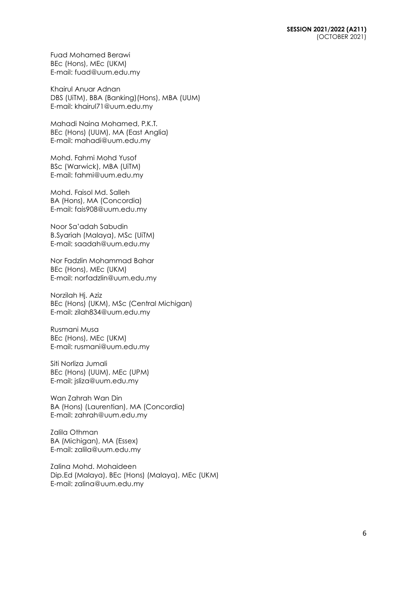Fuad Mohamed Berawi BEc (Hons), MEc (UKM) E-mail: [fuad@uum.edu.my](mailto:fuad@uum.edu.my)

Khairul Anuar Adnan DBS (UiTM), BBA (Banking)(Hons), MBA (UUM) E-mail: khairul71@uum.edu.my

Mahadi Naina Mohamed, P.K.T. BEc (Hons) (UUM), MA (East Anglia) E-mail: [mahadi@uum.edu.my](mailto:mahadi@uum.edu.my)

Mohd. Fahmi Mohd Yusof BSc (Warwick), MBA (UiTM) E-mail: [fahmi@uum.edu.my](mailto:fahmi@uum.edu.my)

Mohd. Faisol Md. Salleh BA (Hons), MA (Concordia) E-mail: [fais908@uum.edu.my](mailto:fais908@uum.edu.my)

Noor Sa'adah Sabudin B.Syariah (Malaya), MSc (UiTM) E-mail: [saadah@uum.edu.my](mailto:saadah@uum.edu.my)

Nor Fadzlin Mohammad Bahar BEc (Hons), MEc (UKM) E-mail: [norfadzlin@uum.edu.my](mailto:norfadzlin@uum.edu.my)

Norzilah Hj. Aziz BEc (Hons) (UKM), MSc (Central Michigan) E-mail: [zilah834@uum.edu.my](mailto:zilah834@uum.edu.my)

Rusmani Musa BEc (Hons), MEc (UKM) E-mail: [rusmani@uum.edu.my](mailto:rusmani@uum.edu.my)

Siti Norliza Jumali BEc (Hons) (UUM), MEc (UPM) E-mail: [jsliza@uum.edu.my](mailto:jsliza@uum.edu.my)

Wan Zahrah Wan Din BA (Hons) (Laurentian), MA (Concordia) E-mail: [zahrah@uum.edu.my](mailto:zahrah@uum.edu.my)

Zalila Othman BA (Michigan), MA (Essex) E-mail: [zalila@uum.edu.my](mailto:zalila@uum.edu.my)

Zalina Mohd. Mohaideen Dip.Ed (Malaya), BEc (Hons) (Malaya), MEc (UKM) E-mail: [zalina@uum.edu.my](mailto:zalina@uum.edu.my)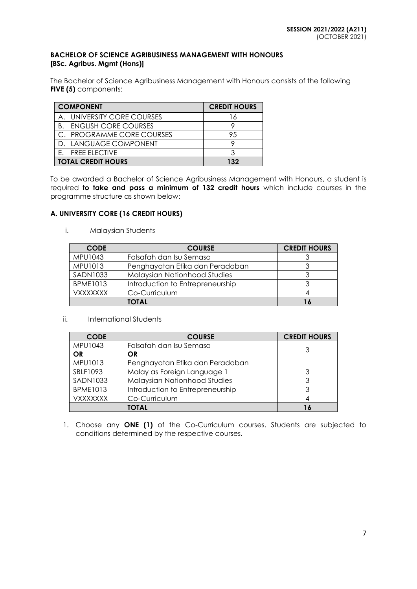## **BACHELOR OF SCIENCE AGRIBUSINESS MANAGEMENT WITH HONOURS [BSc. Agribus. Mgmt (Hons)]**

The Bachelor of Science Agribusiness Management with Honours consists of the following **FIVE (5)** components:

| <b>COMPONENT</b>                  | <b>CREDIT HOURS</b> |
|-----------------------------------|---------------------|
| A. UNIVERSITY CORE COURSES        | l 6                 |
| <b>ENGLISH CORE COURSES</b><br>Β. |                     |
| C. PROGRAMME CORE COURSES         | 95                  |
| D. LANGUAGE COMPONENT             |                     |
| E. FREE ELECTIVE                  |                     |
| <b>TOTAL CREDIT HOURS</b>         | 132                 |

To be awarded a Bachelor of Science Agribusiness Management with Honours, a student is required **to take and pass a minimum of 132 credit hours** which include courses in the programme structure as shown below:

## **A. UNIVERSITY CORE (16 CREDIT HOURS)**

i. Malaysian Students

| <b>CODE</b>            | <b>COURSE</b>                    | <b>CREDIT HOURS</b> |
|------------------------|----------------------------------|---------------------|
| MPU1043                | Falsafah dan Isu Semasa          |                     |
| MPU1013                | Penghayatan Etika dan Peradaban  |                     |
| <b>SADN1033</b>        | Malaysian Nationhood Studies     |                     |
| <b>BPME1013</b>        | Introduction to Entrepreneurship |                     |
| <i><b>VXXXXXXX</b></i> | Co-Curriculum                    |                     |
|                        | TOTAL                            |                     |

ii. International Students

| <b>CODE</b>     | <b>COURSE</b>                    | <b>CREDIT HOURS</b> |
|-----------------|----------------------------------|---------------------|
| MPU1043         | Falsafah dan Isu Semasa          |                     |
| OR              | OR                               |                     |
| MPU1013         | Penghayatan Etika dan Peradaban  |                     |
| SBLF1093        | Malay as Foreign Language 1      |                     |
| <b>SADN1033</b> | Malaysian Nationhood Studies     | 3                   |
| <b>BPME1013</b> | Introduction to Entrepreneurship |                     |
| <b>VXXXXXXX</b> | Co-Curriculum                    |                     |
|                 | <b>TOTAL</b>                     |                     |

1. Choose any **ONE (1)** of the Co-Curriculum courses. Students are subjected to conditions determined by the respective courses.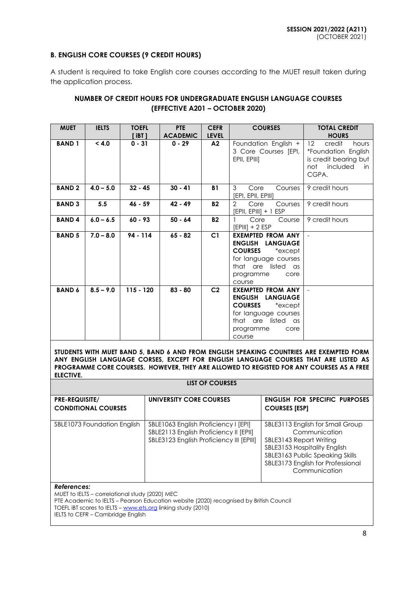## **B. ENGLISH CORE COURSES (9 CREDIT HOURS)**

A student is required to take English core courses according to the MUET result taken during the application process.

## **NUMBER OF CREDIT HOURS FOR UNDERGRADUATE ENGLISH LANGUAGE COURSES (EFFECTIVE A201 – OCTOBER 2020)**

| <b>MUET</b>   | <b>IELTS</b> | <b>TOEFL</b><br>[ iBT ] | <b>PTE</b><br><b>ACADEMIC</b> | <b>CEFR</b><br><b>LEVEL</b> | <b>COURSES</b>                                                                                                                                                | <b>TOTAL CREDIT</b><br><b>HOURS</b>                                                                                    |
|---------------|--------------|-------------------------|-------------------------------|-----------------------------|---------------------------------------------------------------------------------------------------------------------------------------------------------------|------------------------------------------------------------------------------------------------------------------------|
| <b>BAND1</b>  | < 4.0        | $0 - 31$                | $0 - 29$                      | A2                          | Foundation English +<br>3 Core Courses [EPI,<br>EPII, EPIII]                                                                                                  | $12 \overline{ }$<br>credit<br>hours<br>*Foundation English<br>is credit bearing but<br>not<br>included<br>in<br>CGPA. |
| <b>BAND2</b>  | $4.0 - 5.0$  | $32 - 45$               | $30 - 41$                     | <b>B1</b>                   | 3<br>Core<br>Courses<br>[EPI, EPII, EPIII]                                                                                                                    | 9 credit hours                                                                                                         |
| <b>BAND 3</b> | 5.5          | $46 - 59$               | 42 - 49                       | <b>B2</b>                   | 2<br>Core<br>Courses<br>[EPII, EPIII] + 1 ESP                                                                                                                 | 9 credit hours                                                                                                         |
| <b>BAND4</b>  | $6.0 - 6.5$  | $60 - 93$               | $50 - 64$                     | <b>B2</b>                   | Core<br>Course<br>$[EPIII] + 2 ESP$                                                                                                                           | 9 credit hours                                                                                                         |
| <b>BAND 5</b> | $7.0 - 8.0$  | 94 - 114                | $65 - 82$                     | C1                          | <b>EXEMPTED FROM ANY</b><br>ENGLISH LANGUAGE<br><b>COURSES</b><br>*except<br>for language courses<br>that are listed as<br>programme<br>core<br>course        |                                                                                                                        |
| <b>BAND 6</b> | $8.5 - 9.0$  | $115 - 120$             | $83 - 80$                     | C <sub>2</sub>              | <b>EXEMPTED FROM ANY</b><br><b>ENGLISH LANGUAGE</b><br><b>COURSES</b><br>*except<br>for language courses<br>that are listed as<br>programme<br>core<br>course |                                                                                                                        |

**STUDENTS WITH MUET BAND 5, BAND 6 AND FROM ENGLISH SPEAKING COUNTRIES ARE EXEMPTED FORM ANY ENGLISH LANGUAGE CORSES, EXCEPT FOR ENGLISH LANGUAGE COURSES THAT ARE LISTED AS PROGRAMME CORE COURSES. HOWEVER, THEY ARE ALLOWED TO REGISTED FOR ANY COURSES AS A FREE ELECTIVE.**

**LIST OF COURSES**

| <b>PRE-REQUISITE/</b>       | UNIVERSITY CORE COURSES                                                                                                    | <b>ENGLISH FOR SPECIFIC PURPOSES</b>                                                                                                                                                                  |
|-----------------------------|----------------------------------------------------------------------------------------------------------------------------|-------------------------------------------------------------------------------------------------------------------------------------------------------------------------------------------------------|
| <b>CONDITIONAL COURSES</b>  |                                                                                                                            | <b>COURSES [ESP]</b>                                                                                                                                                                                  |
|                             |                                                                                                                            |                                                                                                                                                                                                       |
| SBLE1073 Foundation English | SBLE1063 English Proficiency I [EPI]<br>SBLE2113 English Proficiency II [EPII]<br>SBLE3123 English Proficiency III [EPIII] | SBLE3113 English for Small Group<br>Communication<br>SBLE3143 Report Writing<br>SBLE3153 Hospitality English<br>SBLE3163 Public Speaking Skills<br>SBLE3173 English for Professional<br>Communication |

#### *References:*

MUET to IELTS – correlational study (2020) MEC PTE Academic to IELTS – Pearson Education website (2020) recognised by British Council TOEFL IBT scores to IELTS – [www.ets.org](http://www.ets.org/) linking study (2010) IELTS to CEFR – Cambridge English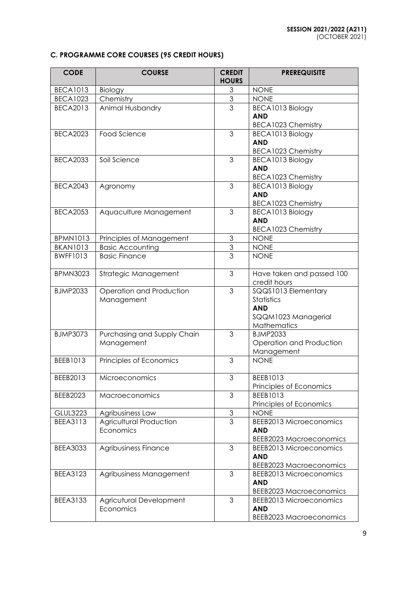# **C. PROGRAMME CORE COURSES (95 CREDIT HOURS)**

| <b>CODE</b>     | <b>COURSE</b>               | <b>CREDIT</b><br><b>HOURS</b> | <b>PREREQUISITE</b>                     |
|-----------------|-----------------------------|-------------------------------|-----------------------------------------|
| <b>BECA1013</b> | Biology                     | 3                             | <b>NONE</b>                             |
| <b>BECA1023</b> | Chemistry                   | $\mathfrak 3$                 | <b>NONE</b>                             |
| <b>BECA2013</b> | Animal Husbandry            | 3                             | BECA1013 Biology                        |
|                 |                             |                               | <b>AND</b>                              |
|                 |                             |                               | <b>BECA1023 Chemistry</b>               |
| <b>BECA2023</b> | Food Science                | 3                             | BECA1013 Biology                        |
|                 |                             |                               | <b>AND</b>                              |
|                 |                             |                               | <b>BECA1023 Chemistry</b>               |
| <b>BECA2033</b> | Soil Science                | 3                             | BECA1013 Biology                        |
|                 |                             |                               | <b>AND</b>                              |
|                 |                             |                               | <b>BECA1023 Chemistry</b>               |
| <b>BECA2043</b> | Agronomy                    | 3                             | BECA1013 Biology                        |
|                 |                             |                               | <b>AND</b>                              |
|                 |                             |                               | <b>BECA1023 Chemistry</b>               |
| <b>BECA2053</b> | Aquaculture Management      | 3                             | BECA1013 Biology                        |
|                 |                             |                               | <b>AND</b><br><b>BECA1023 Chemistry</b> |
| <b>BPMN1013</b> | Principles of Management    | 3                             | <b>NONE</b>                             |
| <b>BKAN1013</b> | <b>Basic Accounting</b>     | $\mathfrak 3$                 | <b>NONE</b>                             |
| <b>BWFF1013</b> | <b>Basic Finance</b>        | $\overline{3}$                | <b>NONE</b>                             |
|                 |                             |                               |                                         |
| <b>BPMN3023</b> | Strategic Management        | 3                             | Have taken and passed 100               |
|                 |                             |                               | credit hours                            |
| <b>BJMP2033</b> | Operation and Production    | 3                             | SQQS1013 Elementary                     |
|                 | Management                  |                               | Statistics                              |
|                 |                             |                               | <b>AND</b>                              |
|                 |                             |                               | SQQM1023 Managerial                     |
|                 |                             |                               | Mathematics                             |
| <b>BJMP3073</b> | Purchasing and Supply Chain | 3                             | <b>BJMP2033</b>                         |
|                 | Management                  |                               | Operation and Production                |
|                 |                             |                               | Management                              |
| BEEB1013        | Principles of Economics     | 3                             | <b>NONE</b>                             |
|                 |                             |                               |                                         |
| BEEB2013        | Microeconomics              | 3                             | BEEB1013<br>Principles of Economics     |
| BEEB2023        | Macroeconomics              | 3                             | BEEB1013                                |
|                 |                             |                               | Principles of Economics                 |
| <b>GLUL3223</b> | Agribusiness Law            | $\ensuremath{\mathsf{3}}$     | <b>NONE</b>                             |
| <b>BEEA3113</b> | Agricultural Production     | 3                             | <b>BEEB2013 Microeconomics</b>          |
|                 | Economics                   |                               | <b>AND</b>                              |
|                 |                             |                               | <b>BEEB2023 Macroeconomics</b>          |
| <b>BEEA3033</b> | Agribusiness Finance        | 3                             | <b>BEEB2013 Microeconomics</b>          |
|                 |                             |                               | <b>AND</b>                              |
|                 |                             |                               | <b>BEEB2023 Macroeconomics</b>          |
| <b>BEEA3123</b> | Agribusiness Management     | 3                             | <b>BEEB2013 Microeconomics</b>          |
|                 |                             |                               | <b>AND</b>                              |
|                 |                             |                               | <b>BEEB2023 Macroeconomics</b>          |
| <b>BEEA3133</b> | Agricutural Development     | 3                             | <b>BEEB2013 Microeconomics</b>          |
|                 | Economics                   |                               | <b>AND</b>                              |
|                 |                             |                               | <b>BEEB2023 Macroeconomics</b>          |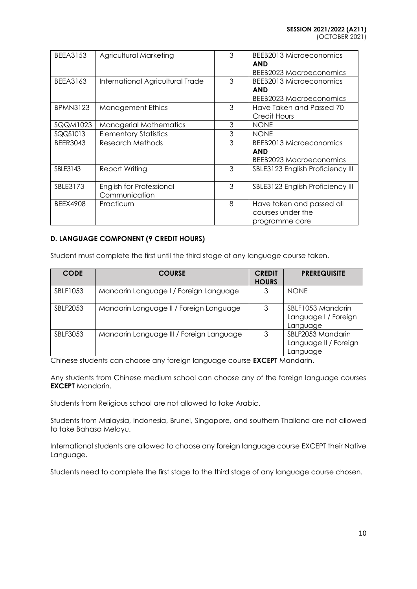(OCTOBER 2021)

| <b>BEEA3153</b> | Agricultural Marketing                    | 3 | <b>BEEB2013 Microeconomics</b><br><b>AND</b><br>BEEB2023 Macroeconomics |
|-----------------|-------------------------------------------|---|-------------------------------------------------------------------------|
| BEEA3163        | International Agricultural Trade          | 3 | BEEB2013 Microeconomics<br><b>AND</b><br>BEEB2023 Macroeconomics        |
| <b>BPMN3123</b> | <b>Management Ethics</b>                  | 3 | Have Taken and Passed 70<br><b>Credit Hours</b>                         |
| SQQM1023        | <b>Managerial Mathematics</b>             | 3 | <b>NONE</b>                                                             |
| SQQS1013        | <b>Elementary Statistics</b>              | 3 | <b>NONE</b>                                                             |
| <b>BEER3043</b> | Research Methods                          | 3 | BEEB2013 Microeconomics<br><b>AND</b><br>BEEB2023 Macroeconomics        |
| SBLE3143        | Report Writing                            | 3 | SBLE3123 English Proficiency III                                        |
| SBLE3173        | English for Professional<br>Communication | 3 | SBLE3123 English Proficiency III                                        |
| <b>BEEX4908</b> | Practicum                                 | 8 | Have taken and passed all<br>courses under the<br>programme core        |

# **D. LANGUAGE COMPONENT (9 CREDIT HOURS)**

Student must complete the first until the third stage of any language course taken.

| <b>CODE</b> | <b>COURSE</b>                            | <b>CREDIT</b><br><b>HOURS</b> | <b>PREREQUISITE</b>                                    |
|-------------|------------------------------------------|-------------------------------|--------------------------------------------------------|
| SBLF1053    | Mandarin Language I / Foreign Language   | 3                             | <b>NONE</b>                                            |
| SBLF2053    | Mandarin Language II / Foreign Language  | 3                             | SBLF1053 Mandarin<br>Language I / Foreign<br>Language  |
| SBLF3053    | Mandarin Language III / Foreign Language | 3                             | SBLF2053 Mandarin<br>Language II / Foreign<br>Language |

Chinese students can choose any foreign language course **EXCEPT** Mandarin.

Any students from Chinese medium school can choose any of the foreign language courses **EXCEPT** Mandarin.

Students from Religious school are not allowed to take Arabic.

Students from Malaysia, Indonesia, Brunei, Singapore, and southern Thailand are not allowed to take Bahasa Melayu.

International students are allowed to choose any foreign language course EXCEPT their Native Language.

Students need to complete the first stage to the third stage of any language course chosen.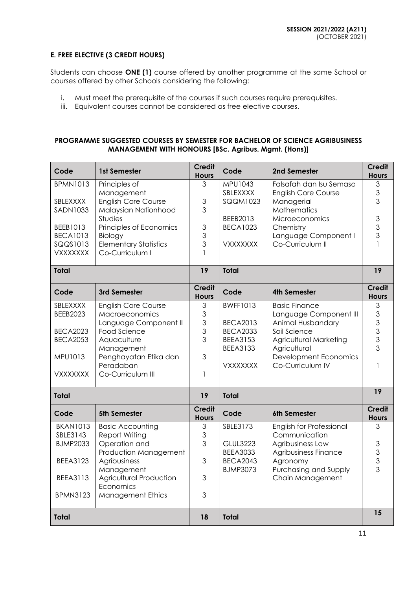## **E. FREE ELECTIVE (3 CREDIT HOURS)**

Students can choose **ONE (1)** course offered by another programme at the same School or courses offered by other Schools considering the following:

- i. Must meet the prerequisite of the courses if such courses require prerequisites.
- iii. Equivalent courses cannot be considered as free elective courses.

## **PROGRAMME SUGGESTED COURSES BY SEMESTER FOR BACHELOR OF SCIENCE AGRIBUSINESS MANAGEMENT WITH HONOURS [BSc. Agribus. Mgmt. (Hons)]**

| Code                        | 1st Semester                                     | <b>Credit</b><br><b>Hours</b> | Code                               | 2nd Semester                                          | <b>Credit</b><br><b>Hours</b> |
|-----------------------------|--------------------------------------------------|-------------------------------|------------------------------------|-------------------------------------------------------|-------------------------------|
| <b>BPMN1013</b>             | Principles of<br>Management                      | 3                             | MPU1043<br>SBLEXXXX                | Falsafah dan Isu Semasa<br><b>English Core Course</b> | 3<br>3                        |
| SBLEXXXX                    | <b>English Core Course</b>                       | 3                             | <b>SQQM1023</b>                    | Managerial                                            | 3                             |
| <b>SADN1033</b>             | Malaysian Nationhood<br><b>Studies</b>           | 3                             | BEEB2013                           | <b>Mathematics</b><br>Microeconomics                  | $\ensuremath{\mathsf{3}}$     |
| BEEB1013                    | Principles of Economics                          | 3                             | <b>BECA1023</b>                    | Chemistry                                             | $\overline{3}$<br>3           |
| <b>BECA1013</b><br>SQQS1013 | Biology<br><b>Elementary Statistics</b>          | 3<br>3                        | <b>VXXXXXXX</b>                    | Language Component I<br>Co-Curriculum II              |                               |
| VXXXXXXX                    | Co-Curriculum I                                  | $\mathbf{1}$                  |                                    |                                                       |                               |
| <b>Total</b>                |                                                  | 19                            | Total                              |                                                       | $\overline{19}$               |
| Code                        | 3rd Semester                                     | <b>Credit</b><br><b>Hours</b> | Code                               | <b>4th Semester</b>                                   | <b>Credit</b><br><b>Hours</b> |
| SBLEXXXX<br><b>BEEB2023</b> | <b>English Core Course</b><br>Macroeconomics     | 3<br>3                        | <b>BWFF1013</b>                    | <b>Basic Finance</b><br>Language Component III        | 3<br>3                        |
|                             | Language Component II                            | 3                             | <b>BECA2013</b>                    | Animal Husbandary                                     | 3                             |
| <b>BECA2023</b>             | Food Science                                     | 3<br>3                        | <b>BECA2033</b>                    | Soil Science                                          | $\mathfrak{S}$                |
| <b>BECA2053</b>             | Aquaculture<br>Management                        |                               | <b>BEEA3153</b><br><b>BEEA3133</b> | Agricultural Marketing<br>Agricultural                | 3<br>3                        |
| MPU1013                     | Penghayatan Etika dan                            | 3                             |                                    | <b>Development Economics</b>                          |                               |
| <b>VXXXXXXX</b>             | Peradaban<br>Co-Curriculum III                   | $\mathbf{1}$                  | VXXXXXXX                           | Co-Curriculum IV                                      | 1                             |
| <b>Total</b>                |                                                  | 19                            | <b>Total</b>                       |                                                       | 19                            |
| Code                        | 5th Semester                                     | <b>Credit</b><br><b>Hours</b> | Code                               | 6th Semester                                          | <b>Credit</b><br><b>Hours</b> |
| <b>BKAN1013</b><br>SBLE3143 | <b>Basic Accounting</b><br><b>Report Writing</b> | 3<br>3                        | SBLE3173                           | English for Professional<br>Communication             | 3                             |
| <b>BJMP2033</b>             | Operation and                                    | 3                             | <b>GLUL3223</b>                    | Agribusiness Law                                      | $\ensuremath{\mathsf{3}}$     |
|                             | Production Management                            |                               | <b>BEEA3033</b>                    | Agribusiness Finance                                  | 3                             |
| <b>BEEA3123</b>             | Agribusiness<br>Management                       | 3                             | <b>BECA2043</b><br><b>BJMP3073</b> | Agronomy<br>Purchasing and Supply                     | $\overline{3}$<br>3           |
| <b>BEEA3113</b>             | Agricultural Production<br>Economics             | 3                             |                                    | Chain Management                                      |                               |
| <b>BPMN3123</b>             | <b>Management Ethics</b>                         | 3                             |                                    |                                                       |                               |
| <b>Total</b>                |                                                  | 18                            | <b>Total</b>                       |                                                       | 15                            |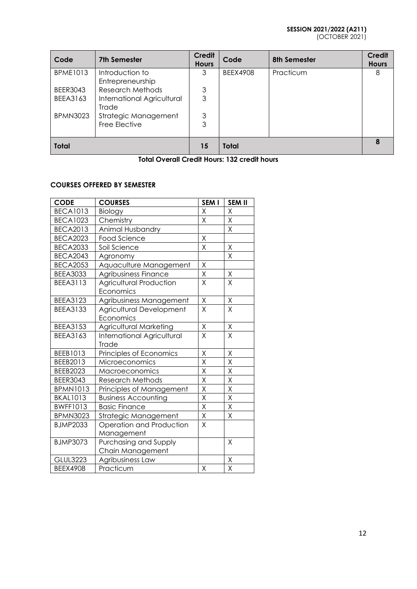# **SESSION 2021/2022 (A211)**

(OCTOBER 2021)

| Code            | <b>7th Semester</b>                 | <b>Credit</b><br><b>Hours</b> | Code         | <b>8th Semester</b> | <b>Credit</b><br><b>Hours</b> |
|-----------------|-------------------------------------|-------------------------------|--------------|---------------------|-------------------------------|
| <b>BPME1013</b> | Introduction to<br>Entrepreneurship | 3                             | BEEX4908     | Practicum           | 8                             |
| <b>BEER3043</b> | Research Methods                    | 3                             |              |                     |                               |
| <b>BEEA3163</b> | International Agricultural<br>Trade | 3                             |              |                     |                               |
| <b>BPMN3023</b> | Strategic Management                | 3                             |              |                     |                               |
|                 | Free Elective                       | 3                             |              |                     |                               |
| <b>Total</b>    |                                     | 15                            | <b>Total</b> |                     | 8                             |

**Total Overall Credit Hours: 132 credit hours**

# **COURSES OFFERED BY SEMESTER**

| <b>CODE</b>     | <b>COURSES</b>                    | SEM I                   | <b>SEM II</b>           |
|-----------------|-----------------------------------|-------------------------|-------------------------|
| <b>BECA1013</b> | Biology                           | Χ                       | X                       |
| <b>BECA1023</b> | Chemistry                         | X                       | Χ                       |
| <b>BECA2013</b> | Animal Husbandry                  |                         | X                       |
| <b>BECA2023</b> | Food Science                      | $\sf X$                 |                         |
| <b>BECA2033</b> | Soil Science                      | X                       | $\mathsf X$             |
| <b>BECA2043</b> | Agronomy                          |                         | X                       |
| <b>BECA2053</b> | Aquaculture Management            | Χ                       |                         |
| <b>BEEA3033</b> | Agribusiness Finance              | X                       | $\mathsf X$             |
| <b>BEEA3113</b> | <b>Agricultural Production</b>    | X                       | X                       |
|                 | Economics                         |                         |                         |
| <b>BEEA3123</b> | Agribusiness Management           | Χ                       | Χ                       |
| <b>BEEA3133</b> | Agricultural Development          | $\overline{\mathsf{X}}$ | $\overline{\mathsf{X}}$ |
|                 | Economics                         |                         |                         |
| <b>BEEA3153</b> | Agricultural Marketing            | X                       | Χ                       |
| BEEA3163        | <b>International Agricultural</b> | X                       | X                       |
|                 | Trade                             |                         |                         |
| BEEB1013        | Principles of Economics           | Χ                       | Χ                       |
| BEEB2013        | Microeconomics                    | X                       | $\sf X$                 |
| BEEB2023        | Macroeconomics                    | $\overline{\mathsf{X}}$ | Χ                       |
| <b>BEER3043</b> | <b>Research Methods</b>           | X                       | $\mathsf X$             |
| <b>BPMN1013</b> | Principles of Management          | X                       | Χ                       |
| <b>BKAL1013</b> | <b>Business Accounting</b>        | $\overline{\mathsf{X}}$ | X                       |
| <b>BWFF1013</b> | <b>Basic Finance</b>              | $\overline{\mathsf{X}}$ | X                       |
| <b>BPMN3023</b> | Strategic Management              | $\mathsf X$             | X                       |
| <b>BJMP2033</b> | Operation and Production          | X                       |                         |
|                 | Management                        |                         |                         |
| <b>BJMP3073</b> | Purchasing and Supply             |                         | Χ                       |
|                 | Chain Management                  |                         |                         |
| <b>GLUL3223</b> | Agribusiness Law                  |                         | $\times$                |
| <b>BEEX4908</b> | Practicum                         | X                       | X                       |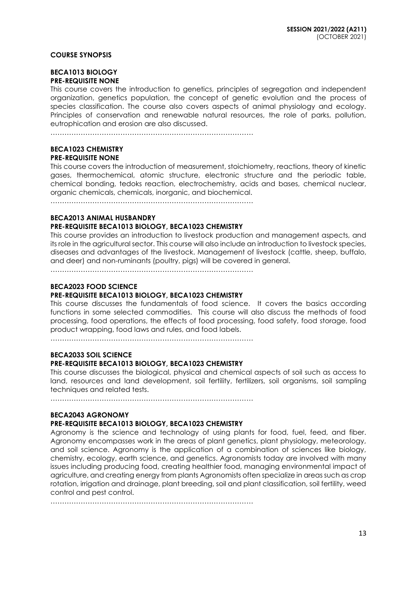#### **COURSE SYNOPSIS**

#### **BECA1013 BIOLOGY PRE-REQUISITE NONE**

This course covers the introduction to genetics, principles of segregation and independent organization, genetics population, the concept of genetic evolution and the process of species classification. The course also covers aspects of animal physiology and ecology. Principles of conservation and renewable natural resources, the role of parks, pollution, eutrophication and erosion are also discussed.

……………………………………………………………………………

#### **BECA1023 CHEMISTRY PRE-REQUISITE NONE**

This course covers the introduction of measurement, stoichiometry, reactions, theory of kinetic gases, thermochemical, atomic structure, electronic structure and the periodic table, chemical bonding, tedoks reaction, electrochemistry, acids and bases, chemical nuclear, organic chemicals, chemicals, inorganic, and biochemical.

……………………………………………………………………………

#### **BECA2013 ANIMAL HUSBANDRY**

## **PRE-REQUISITE BECA1013 BIOLOGY, BECA1023 CHEMISTRY**

This course provides an introduction to livestock production and management aspects, and its role in the agricultural sector. This course will also include an introduction to livestock species, diseases and advantages of the livestock. Management of livestock (cattle, sheep, buffalo, and deer) and non-ruminants (poultry, pigs) will be covered in general.

……………………………………………………………………………

## **BECA2023 FOOD SCIENCE**

## **PRE-REQUISITE BECA1013 BIOLOGY, BECA1023 CHEMISTRY**

This course discusses the fundamentals of food science. It covers the basics according functions in some selected commodities. This course will also discuss the methods of food processing, food operations, the effects of food processing, food safety, food storage, food product wrapping, food laws and rules, and food labels.

 $\mathcal{L}^{(n)}$ 

### **BECA2033 SOIL SCIENCE PRE-REQUISITE BECA1013 BIOLOGY, BECA1023 CHEMISTRY**

This course discusses the biological, physical and chemical aspects of soil such as access to land, resources and land development, soil fertility, fertilizers, soil organisms, soil sampling techniques and related tests.

……………………………………………………………………………

## **BECA2043 AGRONOMY**

## **PRE-REQUISITE BECA1013 BIOLOGY, BECA1023 CHEMISTRY**

Agronomy is the science and technology of using plants for food, fuel, feed, and fiber. Agronomy encompasses work in the areas of plant genetics, plant physiology, meteorology, and soil science. Agronomy is the application of a combination of sciences like biology, chemistry, ecology, earth science, and genetics. Agronomists today are involved with many issues including producing food, creating healthier food, managing environmental impact of agriculture, and creating energy from plants Agronomists often specialize in areas such as crop rotation, irrigation and drainage, plant breeding, soil and plant classification, soil fertility, weed control and pest control.

……………………………………………………………………………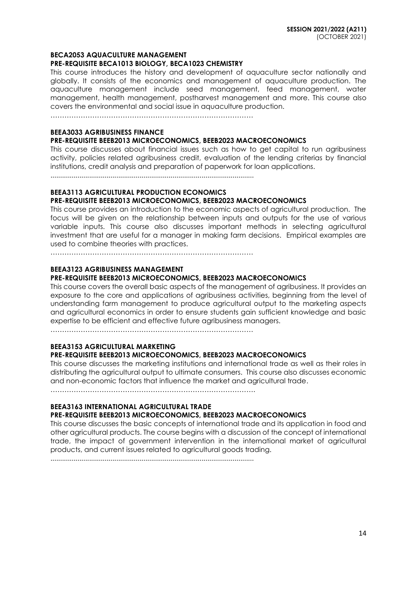#### **BECA2053 AQUACULTURE MANAGEMENT**

#### **PRE-REQUISITE BECA1013 BIOLOGY, BECA1023 CHEMISTRY**

This course introduces the history and development of aquaculture sector nationally and globally. It consists of the economics and management of aquaculture production. The aquaculture management include seed management, feed management, water management, health management, postharvest management and more. This course also covers the environmental and social issue in aquaculture production.

……………………………………………………………………………

## **BEEA3033 AGRIBUSINESS FINANCE**

#### **PRE-REQUISITE BEEB2013 MICROECONOMICS, BEEB2023 MACROECONOMICS**

This course discusses about financial issues such as how to get capital to run agribusiness activity, policies related agribusiness credit, evaluation of the lending criterias by financial institutions, credit analysis and preparation of paperwork for loan applications.

.........................................................................................................

#### **BEEA3113 AGRICULTURAL PRODUCTION ECONOMICS**

## **PRE-REQUISITE BEEB2013 MICROECONOMICS, BEEB2023 MACROECONOMICS**

This course provides an introduction to the economic aspects of agricultural production. The focus will be given on the relationship between inputs and outputs for the use of various variable inputs. This course also discusses important methods in selecting agricultural investment that are useful for a manager in making farm decisions. Empirical examples are used to combine theories with practices.

……………………………………………………………………………

#### **BEEA3123 AGRIBUSINESS MANAGEMENT**

#### **PRE-REQUISITE BEEB2013 MICROECONOMICS, BEEB2023 MACROECONOMICS**

This course covers the overall basic aspects of the management of agribusiness. It provides an exposure to the core and applications of agribusiness activities, beginning from the level of understanding farm management to produce agricultural output to the marketing aspects and agricultural economics in order to ensure students gain sufficient knowledge and basic expertise to be efficient and effective future agribusiness managers.

……………………………………………………………………………

# **BEEA3153 AGRICULTURAL MARKETING**

# **PRE-REQUISITE BEEB2013 MICROECONOMICS, BEEB2023 MACROECONOMICS**

This course discusses the marketing institutions and international trade as well as their roles in distributing the agricultural output to ultimate consumers. This course also discusses economic and non-economic factors that influence the market and agricultural trade.

…………………………………………………………………………….

# **BEEA3163 INTERNATIONAL AGRICULTURAL TRADE**

### **PRE-REQUISITE BEEB2013 MICROECONOMICS, BEEB2023 MACROECONOMICS**

This course discusses the basic concepts of international trade and its application in food and other agricultural products. The course begins with a discussion of the concept of international trade, the impact of government intervention in the international market of agricultural products, and current issues related to agricultural goods trading.

.........................................................................................................